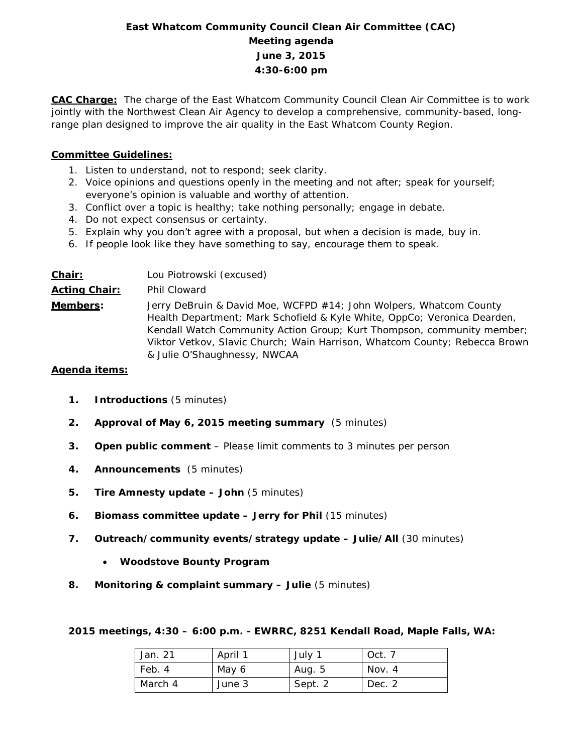# **East Whatcom Community Council Clean Air Committee (CAC) Meeting agenda June 3, 2015 4:30-6:00 pm**

**CAC Charge:** The charge of the East Whatcom Community Council Clean Air Committee is to work jointly with the Northwest Clean Air Agency to develop a comprehensive, community-based, longrange plan designed to improve the air quality in the East Whatcom County Region.

### **Committee Guidelines:**

- 1. Listen to understand, not to respond; seek clarity.
- 2. Voice opinions and questions openly in the meeting and not after; speak for yourself; everyone's opinion is valuable and worthy of attention.
- 3. Conflict over a topic is healthy; take nothing personally; engage in debate.
- 4. Do not expect consensus or certainty.
- 5. Explain why you don't agree with a proposal, but when a decision is made, buy in.
- 6. If people look like they have something to say, encourage them to speak.

| Chair:               | Lou Piotrowski (excused)                                                                                                                                                                                                                                                                                                               |
|----------------------|----------------------------------------------------------------------------------------------------------------------------------------------------------------------------------------------------------------------------------------------------------------------------------------------------------------------------------------|
| <b>Acting Chair:</b> | Phil Cloward                                                                                                                                                                                                                                                                                                                           |
| Members:             | Jerry DeBruin & David Moe, WCFPD #14; John Wolpers, Whatcom County<br>Health Department; Mark Schofield & Kyle White, OppCo; Veronica Dearden,<br>Kendall Watch Community Action Group; Kurt Thompson, community member;<br>Viktor Vetkov, Slavic Church; Wain Harrison, Whatcom County; Rebecca Brown<br>& Julie O'Shaughnessy, NWCAA |

#### **Agenda items:**

- **1. Introductions** (5 minutes)
- **2. Approval of May 6, 2015 meeting summary** (5 minutes)
- **3. Open public comment**  Please limit comments to 3 minutes per person
- **4. Announcements** (5 minutes)
- **5. Tire Amnesty update – John** (5 minutes)
- **6. Biomass committee update – Jerry for Phil** (15 minutes)
- **7. Outreach/community events/strategy update – Julie/All** (30 minutes)
	- **Woodstove Bounty Program**
- **8. Monitoring & complaint summary – Julie** (5 minutes)

**2015 meetings, 4:30 – 6:00 p.m. - EWRRC, 8251 Kendall Road, Maple Falls, WA:**

| Jan. 21 | April 1 | July 1  | Oct. 7 |
|---------|---------|---------|--------|
| Feb. 4  | May 6   | Aug. 5  | Nov. 4 |
| March 4 | June 3  | Sept. 2 | Dec. 2 |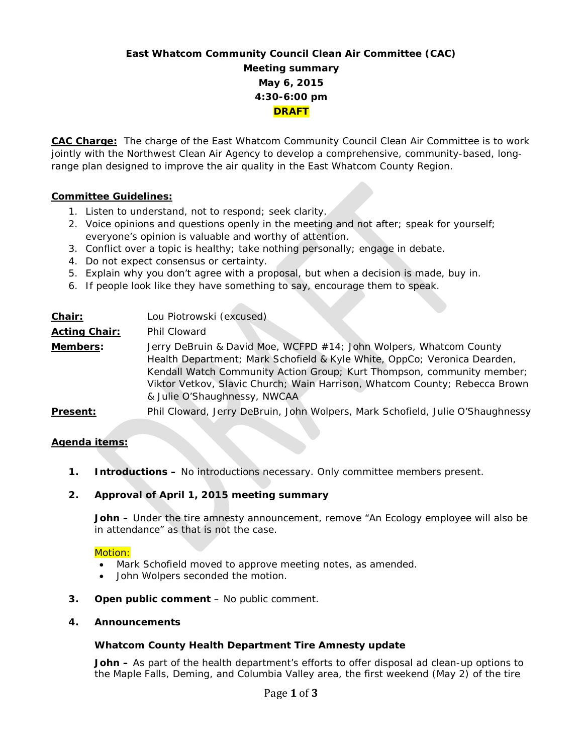# **East Whatcom Community Council Clean Air Committee (CAC) Meeting summary May 6, 2015 4:30-6:00 pm DRAFT**

**CAC Charge:** The charge of the East Whatcom Community Council Clean Air Committee is to work jointly with the Northwest Clean Air Agency to develop a comprehensive, community-based, longrange plan designed to improve the air quality in the East Whatcom County Region.

### **Committee Guidelines:**

- 1. Listen to understand, not to respond; seek clarity.
- 2. Voice opinions and questions openly in the meeting and not after; speak for yourself; everyone's opinion is valuable and worthy of attention.
- 3. Conflict over a topic is healthy; take nothing personally; engage in debate.
- 4. Do not expect consensus or certainty.
- 5. Explain why you don't agree with a proposal, but when a decision is made, buy in.
- 6. If people look like they have something to say, encourage them to speak.

| Chair:               | Lou Piotrowski (excused)                                                                                                                                                                                                                                                                                                               |
|----------------------|----------------------------------------------------------------------------------------------------------------------------------------------------------------------------------------------------------------------------------------------------------------------------------------------------------------------------------------|
| <b>Acting Chair:</b> | <b>Phil Cloward</b>                                                                                                                                                                                                                                                                                                                    |
| Members:             | Jerry DeBruin & David Moe, WCFPD #14; John Wolpers, Whatcom County<br>Health Department; Mark Schofield & Kyle White, OppCo; Veronica Dearden,<br>Kendall Watch Community Action Group; Kurt Thompson, community member;<br>Viktor Vetkov, Slavic Church; Wain Harrison, Whatcom County; Rebecca Brown<br>& Julie O'Shaughnessy, NWCAA |
| Present:             | Phil Cloward, Jerry DeBruin, John Wolpers, Mark Schofield, Julie O'Shaughnessy                                                                                                                                                                                                                                                         |

#### **Agenda items:**

**1. Introductions –** No introductions necessary. Only committee members present.

## **2. Approval of April 1, 2015 meeting summary**

**John –** Under the tire amnesty announcement, remove "An Ecology employee will also be in attendance" as that is not the case.

#### Motion:

- Mark Schofield moved to approve meeting notes, as amended.
- John Wolpers seconded the motion.
- **3. Open public comment**  No public comment.
- **4. Announcements**

#### **Whatcom County Health Department Tire Amnesty update**

**John –** As part of the health department's efforts to offer disposal ad clean-up options to the Maple Falls, Deming, and Columbia Valley area, the first weekend (May 2) of the tire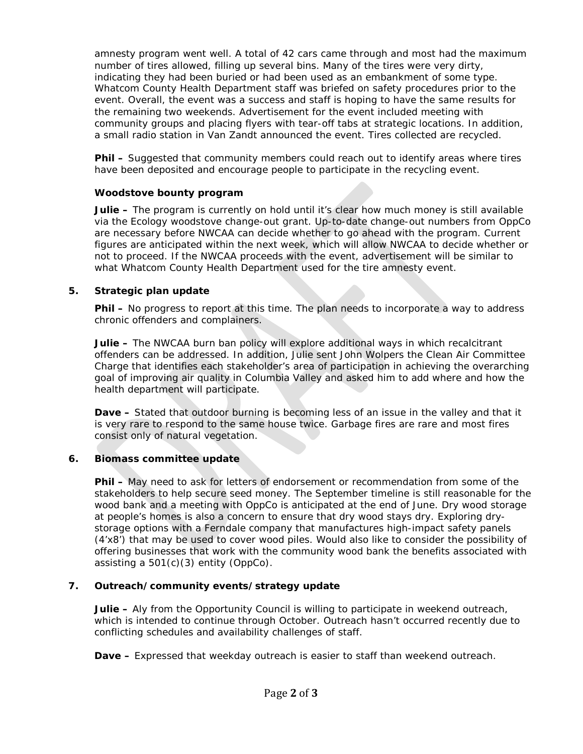amnesty program went well. A total of 42 cars came through and most had the maximum number of tires allowed, filling up several bins. Many of the tires were very dirty, indicating they had been buried or had been used as an embankment of some type. Whatcom County Health Department staff was briefed on safety procedures prior to the event. Overall, the event was a success and staff is hoping to have the same results for the remaining two weekends. Advertisement for the event included meeting with community groups and placing flyers with tear-off tabs at strategic locations. In addition, a small radio station in Van Zandt announced the event. Tires collected are recycled.

**Phil –** Suggested that community members could reach out to identify areas where tires have been deposited and encourage people to participate in the recycling event.

#### **Woodstove bounty program**

**Julie –** The program is currently on hold until it's clear how much money is still available via the Ecology woodstove change-out grant. Up-to-date change-out numbers from OppCo are necessary before NWCAA can decide whether to go ahead with the program. Current figures are anticipated within the next week, which will allow NWCAA to decide whether or not to proceed. If the NWCAA proceeds with the event, advertisement will be similar to what Whatcom County Health Department used for the tire amnesty event.

### **5. Strategic plan update**

**Phil –** No progress to report at this time. The plan needs to incorporate a way to address chronic offenders and complainers.

**Julie –** The NWCAA burn ban policy will explore additional ways in which recalcitrant offenders can be addressed. In addition, Julie sent John Wolpers the Clean Air Committee Charge that identifies each stakeholder's area of participation in achieving the overarching goal of improving air quality in Columbia Valley and asked him to add where and how the health department will participate.

**Dave –** Stated that outdoor burning is becoming less of an issue in the valley and that it is very rare to respond to the same house twice. Garbage fires are rare and most fires consist only of natural vegetation.

## **6. Biomass committee update**

**Phil –** May need to ask for letters of endorsement or recommendation from some of the stakeholders to help secure seed money. The September timeline is still reasonable for the wood bank and a meeting with OppCo is anticipated at the end of June. Dry wood storage at people's homes is also a concern to ensure that dry wood stays dry. Exploring drystorage options with a Ferndale company that manufactures high-impact safety panels (4'x8') that may be used to cover wood piles. Would also like to consider the possibility of offering businesses that work with the community wood bank the benefits associated with assisting a 501(c)(3) entity (OppCo).

## **7. Outreach/community events/strategy update**

**Julie –** Aly from the Opportunity Council is willing to participate in weekend outreach, which is intended to continue through October. Outreach hasn't occurred recently due to conflicting schedules and availability challenges of staff.

**Dave –** Expressed that weekday outreach is easier to staff than weekend outreach.